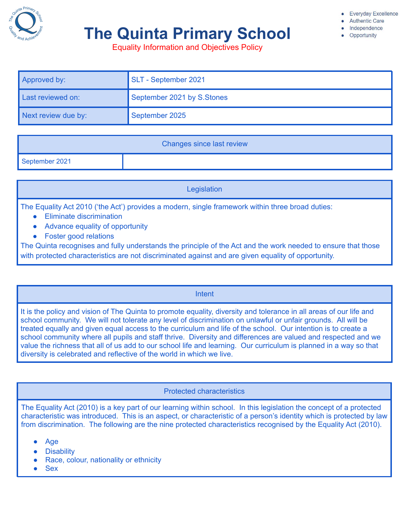

# **The Quinta Primary School**

**Everyday Excellence** 

- **Authentic Care** 
	- Independence Opportunity

Equality Information and Objectives Policy

| Approved by:        | SLT - September 2021       |
|---------------------|----------------------------|
| Last reviewed on:   | September 2021 by S.Stones |
| Next review due by: | September 2025             |

| <b>Changes since last review</b> |  |  |
|----------------------------------|--|--|
| September 2021                   |  |  |

**Legislation** 

The Equality Act 2010 ('the Act') provides a modern, single framework within three broad duties:

- Eliminate discrimination
- Advance equality of opportunity
- Foster good relations

The Quinta recognises and fully understands the principle of the Act and the work needed to ensure that those with protected characteristics are not discriminated against and are given equality of opportunity.

### Intent

It is the policy and vision of The Quinta to promote equality, diversity and tolerance in all areas of our life and school community. We will not tolerate any level of discrimination on unlawful or unfair grounds. All will be treated equally and given equal access to the curriculum and life of the school. Our intention is to create a school community where all pupils and staff thrive. Diversity and differences are valued and respected and we value the richness that all of us add to our school life and learning. Our curriculum is planned in a way so that diversity is celebrated and reflective of the world in which we live.

### Protected characteristics

The Equality Act (2010) is a key part of our learning within school. In this legislation the concept of a protected characteristic was introduced. This is an aspect, or characteristic of a person's identity which is protected by law from discrimination. The following are the nine protected characteristics recognised by the Equality Act (2010).

- Age
- **Disability**
- Race, colour, nationality or ethnicity
- **Sex**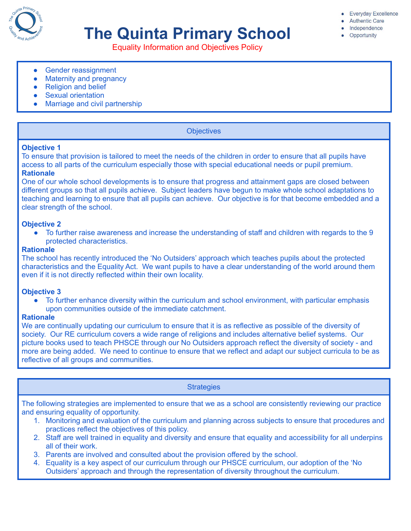

# **The Quinta Primary School**

- **Authentic Care**
- Independence
- Opportunity

Equality Information and Objectives Policy

- Gender reassignment
- Maternity and pregnancy
- Religion and belief
- Sexual orientation
- Marriage and civil partnership

#### **Objectives**

#### **Objective 1**

To ensure that provision is tailored to meet the needs of the children in order to ensure that all pupils have access to all parts of the curriculum especially those with special educational needs or pupil premium. **Rationale**

One of our whole school developments is to ensure that progress and attainment gaps are closed between different groups so that all pupils achieve. Subject leaders have begun to make whole school adaptations to teaching and learning to ensure that all pupils can achieve. Our objective is for that become embedded and a clear strength of the school.

#### **Objective 2**

• To further raise awareness and increase the understanding of staff and children with regards to the 9 protected characteristics.

#### **Rationale**

The school has recently introduced the 'No Outsiders' approach which teaches pupils about the protected characteristics and the Equality Act. We want pupils to have a clear understanding of the world around them even if it is not directly reflected within their own locality.

#### **Objective 3**

• To further enhance diversity within the curriculum and school environment, with particular emphasis upon communities outside of the immediate catchment.

#### **Rationale**

We are continually updating our curriculum to ensure that it is as reflective as possible of the diversity of society. Our RE curriculum covers a wide range of religions and includes alternative belief systems. Our picture books used to teach PHSCE through our No Outsiders approach reflect the diversity of society - and more are being added. We need to continue to ensure that we reflect and adapt our subject curricula to be as reflective of all groups and communities.

### **Strategies**

The following strategies are implemented to ensure that we as a school are consistently reviewing our practice and ensuring equality of opportunity.

- 1. Monitoring and evaluation of the curriculum and planning across subjects to ensure that procedures and practices reflect the objectives of this policy.
- 2. Staff are well trained in equality and diversity and ensure that equality and accessibility for all underpins all of their work.
- 3. Parents are involved and consulted about the provision offered by the school.
- 4. Equality is a key aspect of our curriculum through our PHSCE curriculum, our adoption of the 'No Outsiders' approach and through the representation of diversity throughout the curriculum.